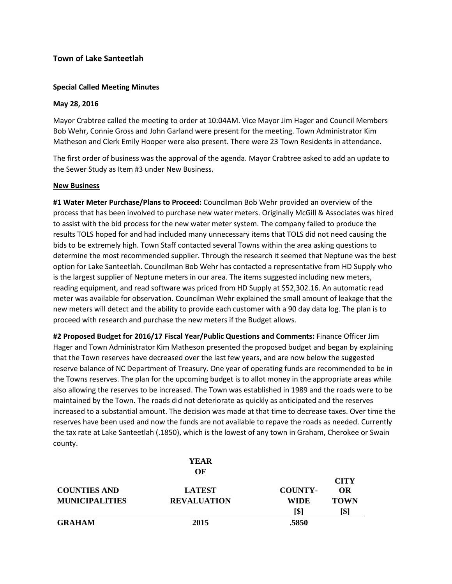# **Town of Lake Santeetlah**

## **Special Called Meeting Minutes**

### **May 28, 2016**

Mayor Crabtree called the meeting to order at 10:04AM. Vice Mayor Jim Hager and Council Members Bob Wehr, Connie Gross and John Garland were present for the meeting. Town Administrator Kim Matheson and Clerk Emily Hooper were also present. There were 23 Town Residents in attendance.

The first order of business was the approval of the agenda. Mayor Crabtree asked to add an update to the Sewer Study as Item #3 under New Business.

#### **New Business**

**#1 Water Meter Purchase/Plans to Proceed:** Councilman Bob Wehr provided an overview of the process that has been involved to purchase new water meters. Originally McGill & Associates was hired to assist with the bid process for the new water meter system. The company failed to produce the results TOLS hoped for and had included many unnecessary items that TOLS did not need causing the bids to be extremely high. Town Staff contacted several Towns within the area asking questions to determine the most recommended supplier. Through the research it seemed that Neptune was the best option for Lake Santeetlah. Councilman Bob Wehr has contacted a representative from HD Supply who is the largest supplier of Neptune meters in our area. The items suggested including new meters, reading equipment, and read software was priced from HD Supply at \$52,302.16. An automatic read meter was available for observation. Councilman Wehr explained the small amount of leakage that the new meters will detect and the ability to provide each customer with a 90 day data log. The plan is to proceed with research and purchase the new meters if the Budget allows.

**#2 Proposed Budget for 2016/17 Fiscal Year/Public Questions and Comments:** Finance Officer Jim Hager and Town Administrator Kim Matheson presented the proposed budget and began by explaining that the Town reserves have decreased over the last few years, and are now below the suggested reserve balance of NC Department of Treasury. One year of operating funds are recommended to be in the Towns reserves. The plan for the upcoming budget is to allot money in the appropriate areas while also allowing the reserves to be increased. The Town was established in 1989 and the roads were to be maintained by the Town. The roads did not deteriorate as quickly as anticipated and the reserves increased to a substantial amount. The decision was made at that time to decrease taxes. Over time the reserves have been used and now the funds are not available to repave the roads as needed. Currently the tax rate at Lake Santeetlah (.1850), which is the lowest of any town in Graham, Cherokee or Swain county.

|                       | <b>YEAR</b>        |                |                          |
|-----------------------|--------------------|----------------|--------------------------|
|                       | OF                 |                |                          |
| <b>COUNTIES AND</b>   | <b>LATEST</b>      | <b>COUNTY-</b> | <b>CITY</b><br><b>OR</b> |
| <b>MUNICIPALITIES</b> | <b>REVALUATION</b> | <b>WIDE</b>    | <b>TOWN</b>              |
|                       |                    | [\$]           | [\$]                     |
| <b>GRAHAM</b>         | 2015               | .5850          |                          |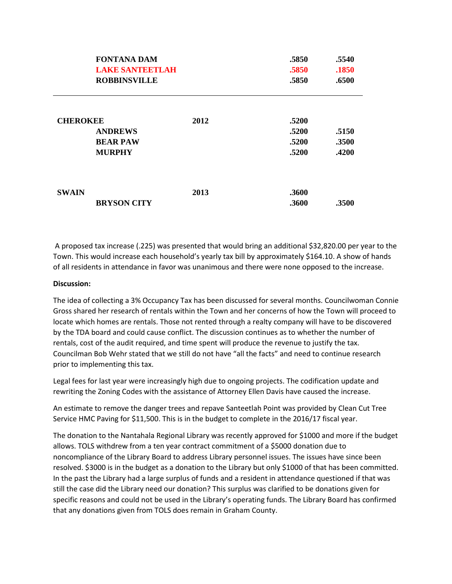| <b>FONTANA DAM</b><br>LAKE SANTEETLAH<br><b>ROBBINSVILLE</b>          |      | .5850<br>.5850<br>.5850          | .5540<br>.1850<br>.6500 |
|-----------------------------------------------------------------------|------|----------------------------------|-------------------------|
| <b>CHEROKEE</b><br><b>ANDREWS</b><br><b>BEAR PAW</b><br><b>MURPHY</b> | 2012 | .5200<br>.5200<br>.5200<br>.5200 | .5150<br>.3500<br>.4200 |
| <b>SWAIN</b><br><b>BRYSON CITY</b>                                    | 2013 | .3600<br>.3600                   | .3500                   |

A proposed tax increase (.225) was presented that would bring an additional \$32,820.00 per year to the Town. This would increase each household's yearly tax bill by approximately \$164.10. A show of hands of all residents in attendance in favor was unanimous and there were none opposed to the increase.

### **Discussion:**

The idea of collecting a 3% Occupancy Tax has been discussed for several months. Councilwoman Connie Gross shared her research of rentals within the Town and her concerns of how the Town will proceed to locate which homes are rentals. Those not rented through a realty company will have to be discovered by the TDA board and could cause conflict. The discussion continues as to whether the number of rentals, cost of the audit required, and time spent will produce the revenue to justify the tax. Councilman Bob Wehr stated that we still do not have "all the facts" and need to continue research prior to implementing this tax.

Legal fees for last year were increasingly high due to ongoing projects. The codification update and rewriting the Zoning Codes with the assistance of Attorney Ellen Davis have caused the increase.

An estimate to remove the danger trees and repave Santeetlah Point was provided by Clean Cut Tree Service HMC Paving for \$11,500. This is in the budget to complete in the 2016/17 fiscal year.

The donation to the Nantahala Regional Library was recently approved for \$1000 and more if the budget allows. TOLS withdrew from a ten year contract commitment of a \$5000 donation due to noncompliance of the Library Board to address Library personnel issues. The issues have since been resolved. \$3000 is in the budget as a donation to the Library but only \$1000 of that has been committed. In the past the Library had a large surplus of funds and a resident in attendance questioned if that was still the case did the Library need our donation? This surplus was clarified to be donations given for specific reasons and could not be used in the Library's operating funds. The Library Board has confirmed that any donations given from TOLS does remain in Graham County.